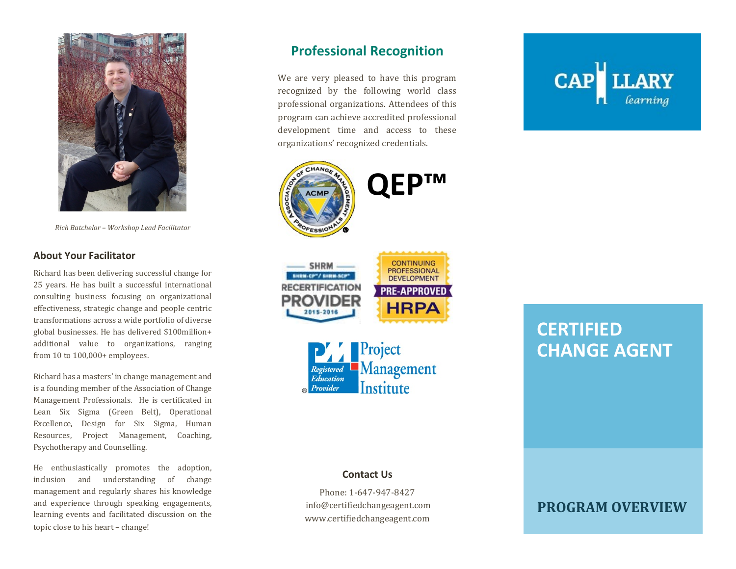

*Rich Batchelor – Workshop Lead Facilitator* 

#### **About Your Facilitator**

Richard has been delivering successful change for 25 years. He has built a successful international consulting business focusing on organizational effectiveness, strategic change and people centric transformations across a wide portfolio of diverse global businesses. He has delivered \$100million+ additional value to organizations, ranging from 10 to 100,000+ employees.

Richard has a masters' in change management and is a founding member of the Association of Change Management Professionals. He is certificated in Lean Six Sigma (Green Belt), Operational Excellence, Design for Six Sigma, Human Resources, Project Management, Coaching, Psychotherapy and Counselling.

He enthusiastically promotes the adoption, inclusion and understanding of change management and regularly shares his knowledge and experience through speaking engagements, learning events and facilitated discussion on the topic close to his heart – change!

## **Professional Recognition**

We are very pleased to have this program recognized by the following world class professional organizations. Attendees of this program can achieve accredited professional development time and access to these organizations' recognized credentials.





#### **Contact Us**

Phone: 1-647-947-8427 info@certifiedchangeagent.com www.certifiedchangeagent.com



# **CERTIFIED CHANGE AGENT**

# **PROGRAM OVERVIEW**